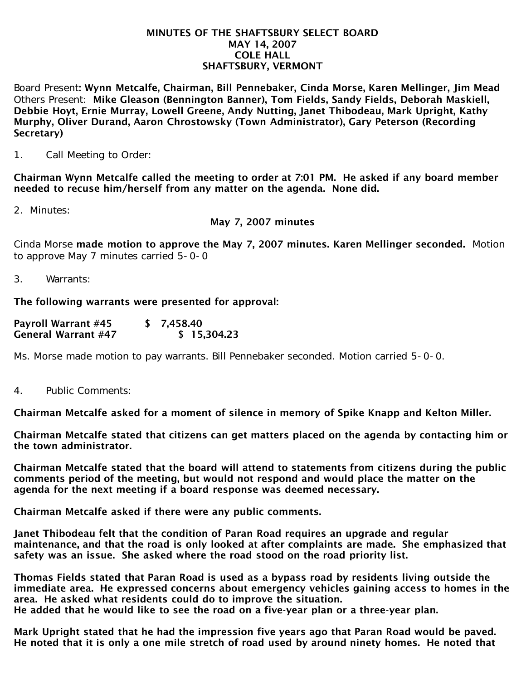#### MINUTES OF THE SHAFTSBURY SELECT BOARD MAY 14, 2007 COLE HALL SHAFTSBURY, VERMONT

Board Present: Wynn Metcalfe, Chairman, Bill Pennebaker, Cinda Morse, Karen Mellinger, Jim Mead Others Present: Mike Gleason (Bennington Banner), Tom Fields, Sandy Fields, Deborah Maskiell, Debbie Hoyt, Ernie Murray, Lowell Greene, Andy Nutting, Janet Thibodeau, Mark Upright, Kathy Murphy, Oliver Durand, Aaron Chrostowsky (Town Administrator), Gary Peterson (Recording Secretary)

1. Call Meeting to Order:

Chairman Wynn Metcalfe called the meeting to order at 7:01 PM. He asked if any board member needed to recuse him/herself from any matter on the agenda. None did.

2. Minutes:

#### May 7, 2007 minutes

Cinda Morse made motion to approve the May 7, 2007 minutes. Karen Mellinger seconded. Motion to approve May 7 minutes carried 5-0-0

3. Warrants:

The following warrants were presented for approval:

| <b>Payroll Warrant #45</b> | \$7,458.40  |
|----------------------------|-------------|
| <b>General Warrant #47</b> | \$15,304.23 |

Ms. Morse made motion to pay warrants. Bill Pennebaker seconded. Motion carried 5-0-0.

4. Public Comments:

Chairman Metcalfe asked for a moment of silence in memory of Spike Knapp and Kelton Miller.

Chairman Metcalfe stated that citizens can get matters placed on the agenda by contacting him or the town administrator.

Chairman Metcalfe stated that the board will attend to statements from citizens during the public comments period of the meeting, but would not respond and would place the matter on the agenda for the next meeting if a board response was deemed necessary.

Chairman Metcalfe asked if there were any public comments.

Janet Thibodeau felt that the condition of Paran Road requires an upgrade and regular maintenance, and that the road is only looked at after complaints are made. She emphasized that safety was an issue. She asked where the road stood on the road priority list.

Thomas Fields stated that Paran Road is used as a bypass road by residents living outside the immediate area. He expressed concerns about emergency vehicles gaining access to homes in the area. He asked what residents could do to improve the situation. He added that he would like to see the road on a five-year plan or a three-year plan.

Mark Upright stated that he had the impression five years ago that Paran Road would be paved. He noted that it is only a one mile stretch of road used by around ninety homes. He noted that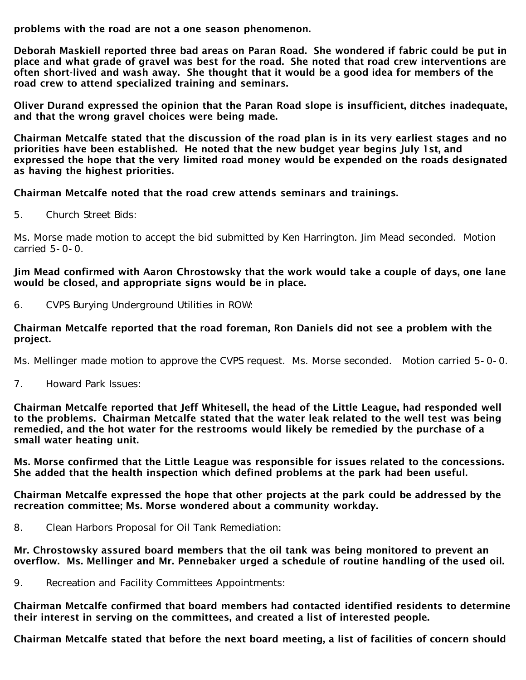problems with the road are not a one season phenomenon.

Deborah Maskiell reported three bad areas on Paran Road. She wondered if fabric could be put in place and what grade of gravel was best for the road. She noted that road crew interventions are often short-lived and wash away. She thought that it would be a good idea for members of the road crew to attend specialized training and seminars.

Oliver Durand expressed the opinion that the Paran Road slope is insufficient, ditches inadequate, and that the wrong gravel choices were being made.

Chairman Metcalfe stated that the discussion of the road plan is in its very earliest stages and no priorities have been established. He noted that the new budget year begins July 1st, and expressed the hope that the very limited road money would be expended on the roads designated as having the highest priorities.

Chairman Metcalfe noted that the road crew attends seminars and trainings.

5. Church Street Bids:

Ms. Morse made motion to accept the bid submitted by Ken Harrington. Jim Mead seconded. Motion carried 5-0-0.

Jim Mead confirmed with Aaron Chrostowsky that the work would take a couple of days, one lane would be closed, and appropriate signs would be in place.

6. CVPS Burying Underground Utilities in ROW:

### Chairman Metcalfe reported that the road foreman, Ron Daniels did not see a problem with the project.

Ms. Mellinger made motion to approve the CVPS request. Ms. Morse seconded. Motion carried 5-0-0.

7. Howard Park Issues:

Chairman Metcalfe reported that Jeff Whitesell, the head of the Little League, had responded well to the problems. Chairman Metcalfe stated that the water leak related to the well test was being remedied, and the hot water for the restrooms would likely be remedied by the purchase of a small water heating unit.

Ms. Morse confirmed that the Little League was responsible for issues related to the concessions. She added that the health inspection which defined problems at the park had been useful.

Chairman Metcalfe expressed the hope that other projects at the park could be addressed by the recreation committee; Ms. Morse wondered about a community workday.

8. Clean Harbors Proposal for Oil Tank Remediation:

Mr. Chrostowsky assured board members that the oil tank was being monitored to prevent an overflow. Ms. Mellinger and Mr. Pennebaker urged a schedule of routine handling of the used oil.

9. Recreation and Facility Committees Appointments:

Chairman Metcalfe confirmed that board members had contacted identified residents to determine their interest in serving on the committees, and created a list of interested people.

Chairman Metcalfe stated that before the next board meeting, a list of facilities of concern should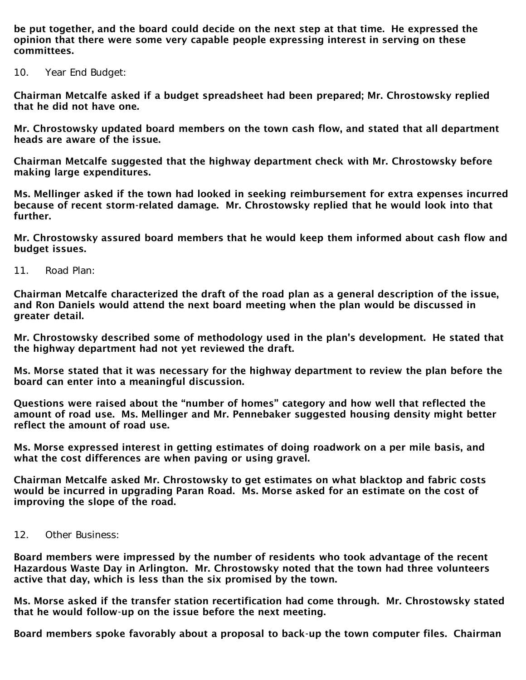be put together, and the board could decide on the next step at that time. He expressed the opinion that there were some very capable people expressing interest in serving on these committees.

10. Year End Budget:

Chairman Metcalfe asked if a budget spreadsheet had been prepared; Mr. Chrostowsky replied that he did not have one.

Mr. Chrostowsky updated board members on the town cash flow, and stated that all department heads are aware of the issue.

Chairman Metcalfe suggested that the highway department check with Mr. Chrostowsky before making large expenditures.

Ms. Mellinger asked if the town had looked in seeking reimbursement for extra expenses incurred because of recent storm-related damage. Mr. Chrostowsky replied that he would look into that further.

Mr. Chrostowsky assured board members that he would keep them informed about cash flow and budget issues.

11. Road Plan:

Chairman Metcalfe characterized the draft of the road plan as a general description of the issue, and Ron Daniels would attend the next board meeting when the plan would be discussed in greater detail.

Mr. Chrostowsky described some of methodology used in the plan's development. He stated that the highway department had not yet reviewed the draft.

Ms. Morse stated that it was necessary for the highway department to review the plan before the board can enter into a meaningful discussion.

Questions were raised about the "number of homes" category and how well that reflected the amount of road use. Ms. Mellinger and Mr. Pennebaker suggested housing density might better reflect the amount of road use.

Ms. Morse expressed interest in getting estimates of doing roadwork on a per mile basis, and what the cost differences are when paving or using gravel.

Chairman Metcalfe asked Mr. Chrostowsky to get estimates on what blacktop and fabric costs would be incurred in upgrading Paran Road. Ms. Morse asked for an estimate on the cost of improving the slope of the road.

12. Other Business:

Board members were impressed by the number of residents who took advantage of the recent Hazardous Waste Day in Arlington. Mr. Chrostowsky noted that the town had three volunteers active that day, which is less than the six promised by the town.

Ms. Morse asked if the transfer station recertification had come through. Mr. Chrostowsky stated that he would follow-up on the issue before the next meeting.

Board members spoke favorably about a proposal to back-up the town computer files. Chairman